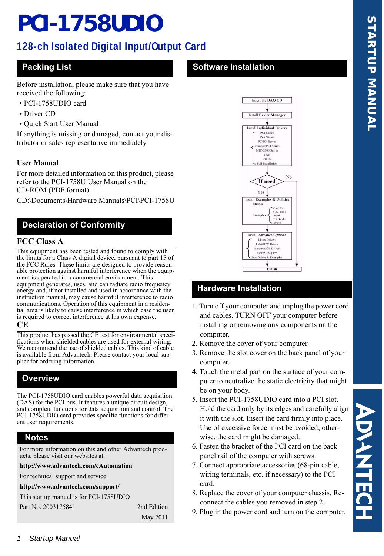# **STARTUP MANUAL STARTUP MANUAL**

## **PCI-1758UDIO**

### **128-ch Isolated Digital Input/Output Card**

Before installation, please make sure that you have received the following:

- PCI-1758UDIO card
- Driver CD
- Quick Start User Manual

If anything is missing or damaged, contact your distributor or sales representative immediately.

#### **User Manual**

For more detailed information on this product, please refer to the PCI-1758U User Manual on the CD-ROM (PDF format).

CD:\Documents\Hardware Manuals\PCI\PCI-1758U

#### **Declaration of Conformity**

#### **FCC Class A**

This equipment has been tested and found to comply with the limits for a Class A digital device, pursuant to part 15 of the FCC Rules. These limits are designed to provide reasonable protection against harmful interference when the equipment is operated in a commercial environment. This equipment generates, uses, and can radiate radio frequency energy and, if not installed and used in accordance with the instruction manual, may cause harmful interference to radio communications. Operation of this equipment in a residential area is likely to cause interference in which case the user is required to correct interference at his own expense.

#### **CE**

This product has passed the CE test for environmental specifications when shielded cables are used for external wiring. We recommend the use of shielded cables. This kind of cable is available from Advantech. Please contact your local supplier for ordering information.

#### **Overview**

The PCI-1758UDIO card enables powerful data acquisition (DAS) for the PCI bus. It features a unique circuit design, and complete functions for data acquisition and control. The PCI-1758UDIO card provides specific functions for different user requirements.

#### **Notes**

For more information on this and other Advantech products, please visit our websites at:

**http://www.advantech.com/eAutomation**

For technical support and service:

#### **http://www.advantech.com/support/**

This startup manual is for PCI-1758UDIO Part No. 2003175841 2nd Edition

May 2011

#### **Packing List Constanting List Packing List Software Installation**



#### **Hardware Installation**

- 1. Turn off your computer and unplug the power cord and cables. TURN OFF your computer before installing or removing any components on the computer.
- 2. Remove the cover of your computer.
- 3. Remove the slot cover on the back panel of your computer.
- 4. Touch the metal part on the surface of your computer to neutralize the static electricity that might be on your body.
- 5. Insert the PCI-1758UDIO card into a PCI slot. Hold the card only by its edges and carefully align it with the slot. Insert the card firmly into place. Use of excessive force must be avoided; otherwise, the card might be damaged.
- 6. Fasten the bracket of the PCI card on the back panel rail of the computer with screws.
- 7. Connect appropriate accessories (68-pin cable, wiring terminals, etc. if necessary) to the PCI card.
- 8. Replace the cover of your computer chassis. Reconnect the cables you removed in step 2.
- 9. Plug in the power cord and turn on the computer.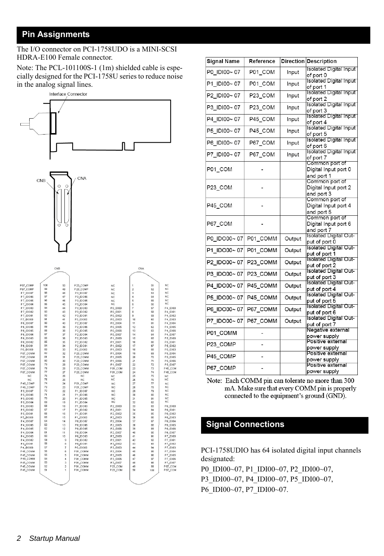#### **Pin Assignments**

The I/O connector on PCI-1758UDO is a MINI-SCSI HDRA-E100 Female connector.

Note: The PCL-101100S-1 (1m) shielded cable is especially designed for the PCI-1758U series to reduce noise in the analog signal lines.



| Signal Name | Reference |        | Direction Description                                |
|-------------|-----------|--------|------------------------------------------------------|
| P0 IDI00~07 | P01 COM   | Input  | Isolated Digital Input<br>of port 0                  |
| P1 IDI00~07 | P01 COM   | Input  | Isolated Digital Input<br>of port 1                  |
| P2 IDI00~07 | P23 COM   | Input  | Isolated Digital Input<br>of port 2                  |
| P3 IDI00~07 | P23 COM   | Input  | Isolated Digital Input<br>of port 3                  |
| P4 IDI00~07 | P45 COM   | Input  | Isolated Digital Input<br>of port 4                  |
| P5 IDI00~07 | P45 COM   | Input  | Isolated Digital Input<br>of port 5                  |
| P6 IDI00~07 | P67 COM   | Input  | <b>Isolated Digital Input</b><br>of port 6           |
| P7 IDI00~07 | P67 COM   | Input  | Isolated Digital Input<br>of port 7                  |
| P01 COM     |           |        | Common port of<br>Digital Input port 0<br>and port 1 |
| P23_COM     |           |        | Common port of<br>Digital Input port 2<br>and port 3 |
| P45 COM     |           |        | Common port of<br>Digital Input port 4<br>and port 5 |
| P67 COM     |           |        | Common port of<br>Digital Input port 6<br>and port 7 |
| P0 IDO00~07 | P01 COMM  | Output | Isolated Digital Out-<br>put of port 0               |
| P1 IDO00~07 | P01_COMM  | Output | <b>Isolated Digital Out-</b><br>put of port 1        |
| P2 IDO00~07 | P23 COMM  | Output | Isolated Digital Out-<br>put of port 2               |
| P3 IDO00~07 | P23 COMM  | Output | solated Digital Out-<br>put of port 3                |
| P4 IDO00~07 | P45 COMM  | Output | <b>Isolated Digital Out-</b><br>put of port 4        |
| P5 IDO00~07 | P45 COMM  | Output | <b>Isolated Digital Out-</b><br>put of port 5        |
| P6 IDO00~07 | P67 COMM  | Output | Isolated Digital Out-<br>put of port 6               |
| P7 IDO00~07 | P67 COMM  | Output | Isolated Digital Out-<br>put of port 7               |
| P01 COMM    |           |        | Negative external<br>power supply                    |
| P23 COMP    |           |        | Positive external<br>power supply                    |
| P45 COMP    |           |        | Positive external<br>power supply                    |
| P67 COMP    |           |        | Positive external<br>power supply                    |

Note: Each COMM pin can tolerate no more than 300 mA. Make sure that every COMM pin is properly connected to the equipment's ground (GND).

#### **Signal Connections**

PCI-1758UDIO has 64 isolated digital input channels designated:

P0\_IDI00~07, P1\_IDI00~07, P2\_IDI00~07, P3\_IDI00~07, P4\_IDI00~07, P5\_IDI00~07, P6\_IDI00~07, P7\_IDI00~07.